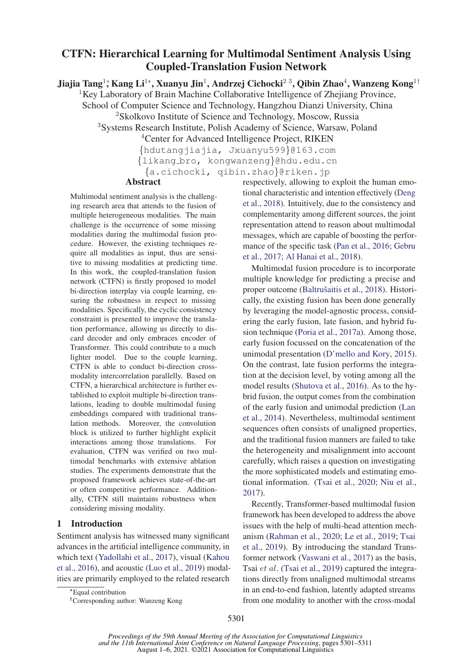# CTFN: Hierarchical Learning for Multimodal Sentiment Analysis Using Coupled-Translation Fusion Network

Jiajia Tang<sup>1</sup>\*, Kang Li<sup>1</sup>\*, Xuanyu Jin<sup>1</sup>, Andrzej Cichocki<sup>23</sup>, Qibin Zhao<sup>4</sup>, Wanzeng Kong<sup>1†</sup>

<sup>1</sup>Key Laboratory of Brain Machine Collaborative Intelligence of Zhejiang Province,

School of Computer Science and Technology, Hangzhou Dianzi University, China

<sup>2</sup>Skolkovo Institute of Science and Technology, Moscow, Russia

<sup>3</sup>Systems Research Institute, Polish Academy of Science, Warsaw, Poland

<sup>4</sup>Center for Advanced Intelligence Project, RIKEN {hdutangjiajia, Jxuanyu599}@163.com {likang bro, kongwanzeng}@hdu.edu.cn

{a.cichocki, qibin.zhao}@riken.jp

## Abstract

Multimodal sentiment analysis is the challenging research area that attends to the fusion of multiple heterogeneous modalities. The main challenge is the occurrence of some missing modalities during the multimodal fusion procedure. However, the existing techniques require all modalities as input, thus are sensitive to missing modalities at predicting time. In this work, the coupled-translation fusion network (CTFN) is firstly proposed to model bi-direction interplay via couple learning, ensuring the robustness in respect to missing modalities. Specifically, the cyclic consistency constraint is presented to improve the translation performance, allowing us directly to discard decoder and only embraces encoder of Transformer. This could contribute to a much lighter model. Due to the couple learning, CTFN is able to conduct bi-direction crossmodality intercorrelation parallelly. Based on CTFN, a hierarchical architecture is further established to exploit multiple bi-direction translations, leading to double multimodal fusing embeddings compared with traditional translation methods. Moreover, the convolution block is utilized to further highlight explicit interactions among those translations. For evaluation, CTFN was verified on two multimodal benchmarks with extensive ablation studies. The experiments demonstrate that the proposed framework achieves state-of-the-art or often competitive performance. Additionally, CTFN still maintains robustness when considering missing modality.

## 1 Introduction

Sentiment analysis has witnessed many significant advances in the artificial intelligence community, in which text (Yadollahi et al., 2017), visual (Kahou et al., 2016), and acoustic (Luo et al., 2019) modalities are primarily employed to the related research respectively, allowing to exploit the human emotional characteristic and intention effectively (Deng et al., 2018). Intuitively, due to the consistency and complementarity among different sources, the joint representation attend to reason about multimodal messages, which are capable of boosting the performance of the specific task (Pan et al., 2016; Gebru et al., 2017; Al Hanai et al., 2018).

Multimodal fusion procedure is to incorporate multiple knowledge for predicting a precise and proper outcome (Baltrušaitis et al., 2018). Historically, the existing fusion has been done generally by leveraging the model-agnostic process, considering the early fusion, late fusion, and hybrid fusion technique (Poria et al., 2017a). Among those, early fusion focussed on the concatenation of the unimodal presentation (D'mello and Kory, 2015). On the contrast, late fusion performs the integration at the decision level, by voting among all the model results (Shutova et al., 2016). As to the hybrid fusion, the output comes from the combination of the early fusion and unimodal prediction (Lan et al., 2014). Nevertheless, multimodal sentiment sequences often consists of unaligned properties, and the traditional fusion manners are failed to take the heterogeneity and misalignment into account carefully, which raises a question on investigating the more sophisticated models and estimating emotional information. (Tsai et al., 2020; Niu et al., 2017).

Recently, Transformer-based multimodal fusion framework has been developed to address the above issues with the help of multi-head attention mechanism (Rahman et al., 2020; Le et al., 2019; Tsai et al., 2019). By introducing the standard Transformer network (Vaswani et al., 2017) as the basis, Tsai et al. (Tsai et al., 2019) captured the integrations directly from unaligned multimodal streams in an end-to-end fashion, latently adapted streams from one modality to another with the cross-modal

<sup>∗</sup>Equal contribution

<sup>†</sup>Corresponding author: Wanzeng Kong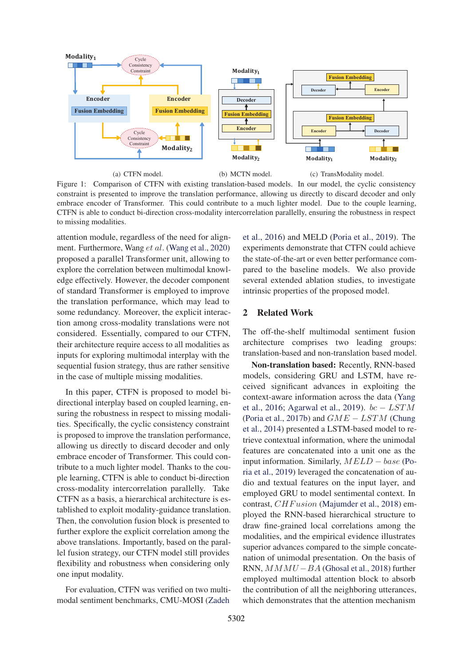

Figure 1: Comparison of CTFN with existing translation-based models. In our model, the cyclic consistency constraint is presented to improve the translation performance, allowing us directly to discard decoder and only embrace encoder of Transformer. This could contribute to a much lighter model. Due to the couple learning, CTFN is able to conduct bi-direction cross-modality intercorrelation parallelly, ensuring the robustness in respect to missing modalities.

attention module, regardless of the need for alignment. Furthermore, Wang et al. (Wang et al., 2020) proposed a parallel Transformer unit, allowing to explore the correlation between multimodal knowledge effectively. However, the decoder component of standard Transformer is employed to improve the translation performance, which may lead to some redundancy. Moreover, the explicit interaction among cross-modality translations were not considered. Essentially, compared to our CTFN, their architecture require access to all modalities as inputs for exploring multimodal interplay with the sequential fusion strategy, thus are rather sensitive in the case of multiple missing modalities.

In this paper, CTFN is proposed to model bidirectional interplay based on coupled learning, ensuring the robustness in respect to missing modalities. Specifically, the cyclic consistency constraint is proposed to improve the translation performance, allowing us directly to discard decoder and only embrace encoder of Transformer. This could contribute to a much lighter model. Thanks to the couple learning, CTFN is able to conduct bi-direction cross-modality intercorrelation parallelly. Take CTFN as a basis, a hierarchical architecture is established to exploit modality-guidance translation. Then, the convolution fusion block is presented to further explore the explicit correlation among the above translations. Importantly, based on the parallel fusion strategy, our CTFN model still provides flexibility and robustness when considering only one input modality.

For evaluation, CTFN was verified on two multimodal sentiment benchmarks, CMU-MOSI (Zadeh

et al., 2016) and MELD (Poria et al., 2019). The experiments demonstrate that CTFN could achieve the state-of-the-art or even better performance compared to the baseline models. We also provide several extended ablation studies, to investigate intrinsic properties of the proposed model.

#### 2 Related Work

The off-the-shelf multimodal sentiment fusion architecture comprises two leading groups: translation-based and non-translation based model.

Non-translation based: Recently, RNN-based models, considering GRU and LSTM, have received significant advances in exploiting the context-aware information across the data (Yang et al., 2016; Agarwal et al., 2019).  $bc - LSTM$ (Poria et al., 2017b) and  $GME - LSTM$  (Chung et al., 2014) presented a LSTM-based model to retrieve contextual information, where the unimodal features are concatenated into a unit one as the input information. Similarly,  $MELD - base$  (Poria et al., 2019) leveraged the concatenation of audio and textual features on the input layer, and employed GRU to model sentimental context. In contrast, *CHF usion* (Majumder et al., 2018) employed the RNN-based hierarchical structure to draw fine-grained local correlations among the modalities, and the empirical evidence illustrates superior advances compared to the simple concatenation of unimodal presentation. On the basis of RNN,  $MMMU - BA$  (Ghosal et al., 2018) further employed multimodal attention block to absorb the contribution of all the neighboring utterances, which demonstrates that the attention mechanism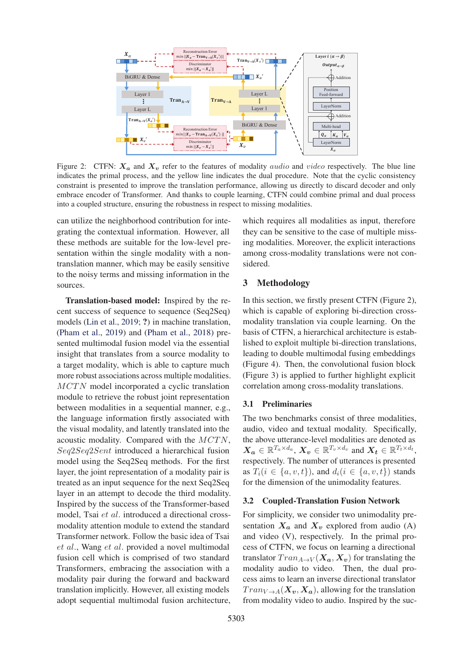

Figure 2: CTFN:  $X_a$  and  $X_v$  refer to the features of modality *audio* and video respectively. The blue line indicates the primal process, and the yellow line indicates the dual procedure. Note that the cyclic consistency constraint is presented to improve the translation performance, allowing us directly to discard decoder and only embrace encoder of Transformer. And thanks to couple learning, CTFN could combine primal and dual process into a coupled structure, ensuring the robustness in respect to missing modalities.

can utilize the neighborhood contribution for integrating the contextual information. However, all these methods are suitable for the low-level presentation within the single modality with a nontranslation manner, which may be easily sensitive to the noisy terms and missing information in the sources.

Translation-based model: Inspired by the recent success of sequence to sequence (Seq2Seq) models (Lin et al., 2019; ?) in machine translation, (Pham et al., 2019) and (Pham et al., 2018) presented multimodal fusion model via the essential insight that translates from a source modality to a target modality, which is able to capture much more robust associations across multiple modalities. MCTN model incorporated a cyclic translation module to retrieve the robust joint representation between modalities in a sequential manner, e.g., the language information firstly associated with the visual modality, and latently translated into the acoustic modality. Compared with the MCTN, Seq2Seq2Sent introduced a hierarchical fusion model using the Seq2Seq methods. For the first layer, the joint representation of a modality pair is treated as an input sequence for the next Seq2Seq layer in an attempt to decode the third modality. Inspired by the success of the Transformer-based model, Tsai et al. introduced a directional crossmodality attention module to extend the standard Transformer network. Follow the basic idea of Tsai et al., Wang et al. provided a novel multimodal fusion cell which is comprised of two standard Transformers, embracing the association with a modality pair during the forward and backward translation implicitly. However, all existing models adopt sequential multimodal fusion architecture,

which requires all modalities as input, therefore they can be sensitive to the case of multiple missing modalities. Moreover, the explicit interactions among cross-modality translations were not considered.

## 3 Methodology

In this section, we firstly present CTFN (Figure 2), which is capable of exploring bi-direction crossmodality translation via couple learning. On the basis of CTFN, a hierarchical architecture is established to exploit multiple bi-direction translations, leading to double multimodal fusing embeddings (Figure 4). Then, the convolutional fusion block (Figure 3) is applied to further highlight explicit correlation among cross-modality translations.

#### 3.1 Preliminaries

The two benchmarks consist of three modalities, audio, video and textual modality. Specifically, the above utterance-level modalities are denoted as  $\mathbf{X_a} \in \mathbb{R}^{T_a \times d_a}$ ,  $\mathbf{X_v} \in \mathbb{R}^{T_v \times d_v}$  and  $\mathbf{X_t} \in \mathbb{R}^{T_t \times d_t}$ , respectively. The number of utterances is presented as  $T_i(i \in \{a, v, t\})$ , and  $d_i(i \in \{a, v, t\})$  stands for the dimension of the unimodality features.

#### 3.2 Coupled-Translation Fusion Network

For simplicity, we consider two unimodality presentation  $X_a$  and  $X_v$  explored from audio (A) and video (V), respectively. In the primal process of CTFN, we focus on learning a directional translator  $Tran_{A\rightarrow V}(\mathbf{X}_a, \mathbf{X}_v)$  for translating the modality audio to video. Then, the dual process aims to learn an inverse directional translator  $Tran_{V\rightarrow A}(\mathbf{X}_v, \mathbf{X}_a)$ , allowing for the translation from modality video to audio. Inspired by the suc-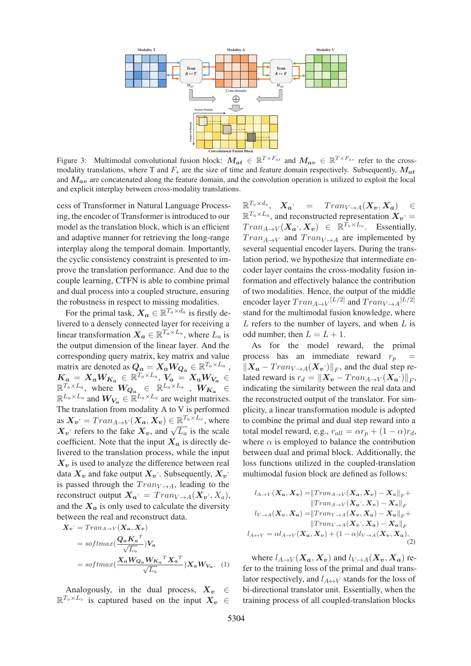

Figure 3: Multimodal convolutional fusion block:  $M_{at} \in \mathbb{R}^{T \times F_{at}}$  and  $M_{av} \in \mathbb{R}^{T \times F_{av}}$  refer to the crossmodality translations, where T and <sup>F</sup><sup>∗</sup> are the size of time and feature domain respectively. Subsequently, *<sup>M</sup>at* and *Mav* are concatenated along the feature domain, and the convolution operation is utilized to exploit the local and explicit interplay between cross-modality translations.

cess of Transformer in Natural Language Processing, the encoder of Transformer is introduced to our model as the translation block, which is an efficient and adaptive manner for retrieving the long-range interplay along the temporal domain. Importantly, the cyclic consistency constraint is presented to improve the translation performance. And due to the couple learning, CTFN is able to combine primal and dual process into a coupled structure, ensuring the robustness in respect to missing modalities.

For the primal task,  $\mathbf{X}_a \in \mathbb{R}^{T_a \times d_a}$  is firstly delivered to a densely connected layer for receiving a linear transformation  $X_a \in \mathbb{R}^{T_a \times L_a}$ , where  $L_a$  is the output dimension of the linear layer. And the corresponding query matrix, key matrix and value matrix are denoted as  $Q_a = X_a W_{Q_a} \in \mathbb{R}^{T_a \times L_a}$ ,  $K_a = X_a W_{K_a} \in \mathbb{R}^{T_a \times L_a}, V_a = X_a W_{V_a} \in$  $\mathbb{R}^{\overline{T_a} \times L_a}$ , where  $W_{\mathbf{Q_a}} \in \mathbb{R}^{L_a \times L_a}$  ,  $W_{K_a} \in$  $\mathbb{R}^{L_a \times L_a}$  and  $W_{V_a} \in \mathbb{R}^{L_a \times L_a}$  are weight matrixes. The translation from modality A to V is performed as  $\mathbf{X}_v = Tran_{A\rightarrow V}(\mathbf{X}_a, \mathbf{X}_v) \in \mathbb{R}^{T_a \times L_v}$ , where  $X_v$  refers to the fake  $X_v$ , and  $\sqrt{L_a}$  is the scale coefficient. Note that the input  $X_a$  is directly delivered to the translation process, while the input  $X_v$  is used to analyze the difference between real data  $X_v$  and fake output  $X_v$ . Subsequently,  $X_v$ is passed through the  $Tran_{V\rightarrow A}$ , leading to the reconstruct output  $\mathbf{X}_a = Tran_{V \to A}(\mathbf{X}_v, X_a)$ , and the  $X_a$  is only used to calculate the diversity between the real and reconstruct data.

$$
\mathbf{X}_v = Tran_{A\to V}(\mathbf{X}_a, \mathbf{X}_v)
$$
  
= softmax $\left(\frac{\mathbf{Q}_a \mathbf{K}_a^T}{\sqrt{L_a}}\right) \mathbf{V}_a$   
= softmax $\left(\frac{\mathbf{X}_a \mathbf{W}_{Q_a} \mathbf{W}_{K_a}^T \mathbf{X}_a^T}{\sqrt{L_a}}\right) \mathbf{X}_a \mathbf{W}_{V_a}$ . (1)

Analogously, in the dual process,  $X_v \in$ <br> $T_v \times L_v$  is captured based on the input  $X_v \in$  $\mathbb{R}^{T_v \times L_v}$  is captured based on the input  $X_v$ 

 $\mathbb{R}^{T_v \times d_v}, \quad \mathbf{X}_a$ , =  $Tran_{V \to A}(\mathbf{X}_v, \mathbf{X}_a)$   $\in$  $\mathbb{R}^{T_a \times L_a}$ , and reconstructed representation  $\mathbf{X}_v$  =  $Tran_{A\to V}(\mathbf{X}_{a}, \mathbf{X}_{v}) \in \mathbb{R}^{\hat{T}_v \times L_v}$ . Essentially,  $Tran_{A\rightarrow V}$  and  $Tran_{V\rightarrow A}$  are implemented by several sequential encoder layers. During the translation period, we hypothesize that intermediate encoder layer contains the cross-modality fusion information and effectively balance the contribution of two modalities. Hence, the output of the middle encoder layer  $Tran_{A\rightarrow V}$  [L/2] and  $Tran_{V\rightarrow A}$  [L/2] stand for the multimodal fusion knowledge, where  $L$  refers to the number of layers, and when  $L$  is odd number, then  $L = L + 1$ .

As for the model reward, the primal process has an immediate reward  $r_p =$  $\|X_a - Tran_{V \to A}(X_v)\|_F$ , and the dual step related reward is  $r_d = ||\mathbf{X}_v - Tran_{A\rightarrow V}(\mathbf{X}_a)||_F$ , indicating the similarity between the real data and the reconstructed output of the translator. For simplicity, a linear transformation module is adopted to combine the primal and dual step reward into a total model reward, e.g.,  $r_{all} = \alpha r_p + (1 - \alpha)r_d$ , where  $\alpha$  is employed to balance the contribution between dual and primal block. Additionally, the loss functions utilized in the coupled-translation multimodal fusion block are defined as follows:

$$
l_{A\to V}(\mathbf{X}_a, \mathbf{X}_v) = ||\text{Tran}_{A\to V}(\mathbf{X}_a, \mathbf{X}_v) - \mathbf{X}_v||_F + ||\text{Tran}_{A\to V}(\mathbf{X}_a^{\cdot}, \mathbf{X}_v) - \mathbf{X}_v||_F
$$
  
\n
$$
l_{V\to A}(\mathbf{X}_v, \mathbf{X}_a) = ||\text{Tran}_{V\to A}(\mathbf{X}_v, \mathbf{X}_a) - \mathbf{X}_a||_F + ||\text{Tran}_{V\to A}(\mathbf{X}_v^{\cdot}, \mathbf{X}_a) - \mathbf{X}_a||_F
$$
  
\n
$$
l_{A\leftrightarrow V} = \alpha l_{A\to V}(\mathbf{X}_a, \mathbf{X}_v) + (1 - \alpha)l_{V\to A}(\mathbf{X}_v, \mathbf{X}_a),
$$
\n(2)

where  $l_{A\rightarrow V}(\mathbf{X}_a, \mathbf{X}_v)$  and  $l_{V\rightarrow A}(\mathbf{X}_v, \mathbf{X}_a)$  refer to the training loss of the primal and dual translator respectively, and  $l_{A\leftrightarrow V}$  stands for the loss of bi-directional translator unit. Essentially, when the training process of all coupled-translation blocks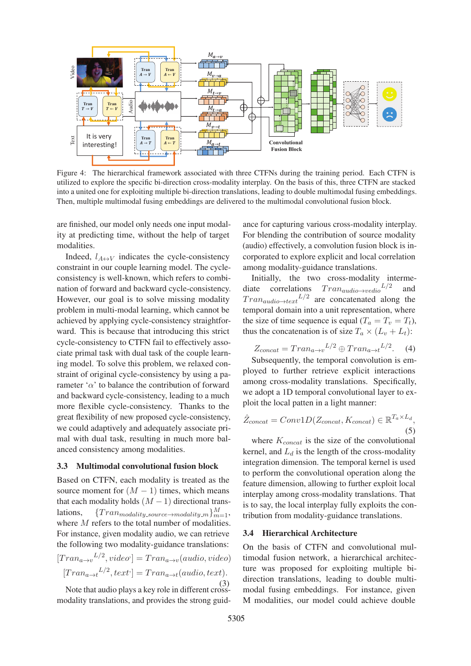

Figure 4: The hierarchical framework associated with three CTFNs during the training period. Each CTFN is utilized to explore the specific bi-direction cross-modality interplay. On the basis of this, three CTFN are stacked into a united one for exploiting multiple bi-direction translations, leading to double multimodal fusing embeddings. Then, multiple multimodal fusing embeddings are delivered to the multimodal convolutional fusion block.

are finished, our model only needs one input modality at predicting time, without the help of target modalities.

Indeed,  $l_{A\leftrightarrow V}$  indicates the cycle-consistency constraint in our couple learning model. The cycleconsistency is well-known, which refers to combination of forward and backward cycle-consistency. However, our goal is to solve missing modality problem in multi-modal learning, which cannot be achieved by applying cycle-consistency straightforward. This is because that introducing this strict cycle-consistency to CTFN fail to effectively associate primal task with dual task of the couple learning model. To solve this problem, we relaxed constraint of original cycle-consistency by using a parameter ' $\alpha$ ' to balance the contribution of forward and backward cycle-consistency, leading to a much more flexible cycle-consistency. Thanks to the great flexibility of new proposed cycle-consistency, we could adaptively and adequately associate primal with dual task, resulting in much more balanced consistency among modalities.

#### 3.3 Multimodal convolutional fusion block

Based on CTFN, each modality is treated as the source moment for  $(M - 1)$  times, which means that each modality holds  $(M-1)$  directional trans-<br>lations,  ${Tran_{modality}}$  source  $\rightarrow$  modality m  $\}_{m=1}^{M}$ , lations,  ${^{Tran_{modality\_source \rightarrow modality\_m}}}_{m=1}^{M}$ , where M refers to the total number of modalities. For instance, given modality audio, we can retrieve the following two modality-guidance translations:  $[Tran_{a\rightarrow v}^{L/2}, video] = Tran_{a\rightarrow v}(audio, video)$  $[Tran_{a\rightarrow t}^{L/2}, text] = Tran_{a\rightarrow t}(audio, text).$ 

(3) Note that audio plays a key role in different crossmodality translations, and provides the strong guid-

ance for capturing various cross-modality interplay. For blending the contribution of source modality (audio) effectively, a convolution fusion block is incorporated to explore explicit and local correlation among modality-guidance translations.

Initially, the two cross-modality intermediate correlations  $Tran_{audio\rightarrow vedio}L/2$  and  $Tran_{audio\rightarrow text}L/2$  are concatenated along the temporal domain into a unit representation, where the size of time sequence is equal  $(T_a = T_v = T_t)$ , thus the concatenation is of size  $T_a \times (L_v + L_t)$ :

$$
Z_{concat} = Tran_{a \to v}^{L/2} \oplus Tran_{a \to t}^{L/2}.
$$
 (4)

Subsequently, the temporal convolution is employed to further retrieve explicit interactions among cross-modality translations. Specifically, we adopt a 1D temporal convolutional layer to exploit the local patten in a light manner:

$$
\hat{Z}_{concat} = Conv1D(Z_{concat}, K_{concat}) \in \mathbb{R}^{T_a \times L_d},
$$
\n(5)

where  $K_{concat}$  is the size of the convolutional kernel, and  $L_d$  is the length of the cross-modality integration dimension. The temporal kernel is used to perform the convolutional operation along the feature dimension, allowing to further exploit local interplay among cross-modality translations. That is to say, the local interplay fully exploits the contribution from modality-guidance translations.

#### 3.4 Hierarchical Architecture

On the basis of CTFN and convolutional multimodal fusion network, a hierarchical architecture was proposed for exploiting multiple bidirection translations, leading to double multimodal fusing embeddings. For instance, given M modalities, our model could achieve double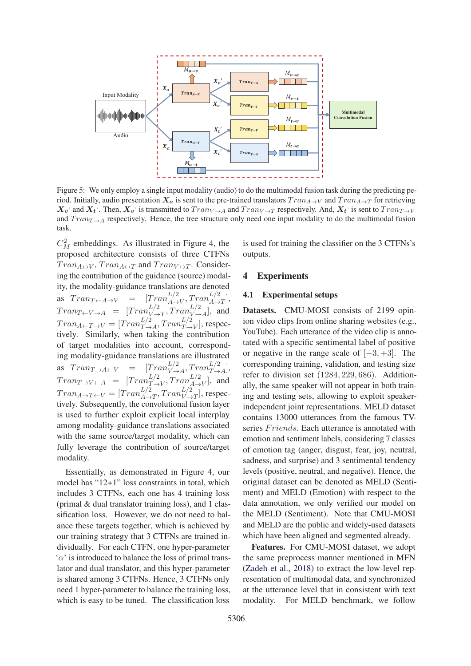

Figure 5: We only employ a single input modality (audio) to do the multimodal fusion task during the predicting period. Initially, audio presentation  $X_a$  is sent to the pre-trained translators  $Tran_{A\to V}$  and  $Tran_{A\to T}$  for retrieving  $X_v$  and  $X_t$ <sup>'</sup>. Then,  $X_v$  is transmitted to  $Trans_{V \to A}$  and  $Trans_{V \to T}$  respectively. And,  $X_t$ <sup>'</sup> is sent to  $Trans_{T \to V}$ and  $Tran_{T\rightarrow A}$  respectively. Hence, the tree structure only need one input modality to do the multimodal fusion task.

 $C_M^2$  embeddings. As illustrated in Figure 4, the proposed architecture consists of three CTFNs  $Tran_{A\leftrightarrow V}$ ,  $Tran_{A\leftrightarrow T}$  and  $Tran_{V\leftrightarrow T}$ . Considering the contribution of the guidance (source) modality, the modality-guidance translations are denoted as  $Tran_{T\leftarrow A\rightarrow V} = [Tran_{A\rightarrow V}^{L/2}, Tran_{A\rightarrow T}^{L/2}],$  $Tran_{T\leftarrow V\rightarrow A} = [Tran_{V\rightarrow T}^{L/2}, Tran_{V\rightarrow A}^{L/2}],$  and  $Tran_{A \leftarrow T \rightarrow V} = [Tran_{T \rightarrow A}^{L/2}, Tran_{T \rightarrow V}^{L/2}],$  respectively. Similarly, when taking the contribution of target modalities into account, corresponding modality-guidance translations are illustrated as  $Tran_{T\rightarrow A\leftarrow V}$  =  $[Tran_{V\rightarrow A}^{L/2}, Tran_{T\rightarrow A}^{L/2}],$  $Tran_{T\rightarrow V\leftarrow A} = [Tran_{T\rightarrow V}^{L/2}, Tran_{A\rightarrow V}^{L/2}],$  and  $Tran_{A\rightarrow T\leftarrow V} = [Tran_{A\rightarrow T}^{L/2}, Tran_{V\rightarrow T}^{L/2}],$  respectively. Subsequently, the convolutional fusion layer is used to further exploit explicit local interplay among modality-guidance translations associated with the same source/target modality, which can fully leverage the contribution of source/target modality.

Essentially, as demonstrated in Figure 4, our model has "12+1" loss constraints in total, which includes 3 CTFNs, each one has 4 training loss (primal & dual translator training loss), and 1 classification loss. However, we do not need to balance these targets together, which is achieved by our training strategy that 3 CTFNs are trained individually. For each CTFN, one hyper-parameter  $\alpha'$  is introduced to balance the loss of primal translator and dual translator, and this hyper-parameter is shared among 3 CTFNs. Hence, 3 CTFNs only need 1 hyper-parameter to balance the training loss, which is easy to be tuned. The classification loss

is used for training the classifier on the 3 CTFNs's outputs.

#### 4 Experiments

#### 4.1 Experimental setups

Datasets. CMU-MOSI consists of 2199 opinion video clips from online sharing websites (e.g., YouTube). Each utterance of the video clip is annotated with a specific sentimental label of positive or negative in the range scale of  $[-3, +3]$ . The corresponding training, validation, and testing size refer to division set (1284, 229, 686). Additionally, the same speaker will not appear in both training and testing sets, allowing to exploit speakerindependent joint representations. MELD dataset contains 13000 utterances from the famous TVseries Friends. Each utterance is annotated with emotion and sentiment labels, considering 7 classes of emotion tag (anger, disgust, fear, joy, neutral, sadness, and surprise) and 3 sentimental tendency levels (positive, neutral, and negative). Hence, the original dataset can be denoted as MELD (Sentiment) and MELD (Emotion) with respect to the data annotation, we only verified our model on the MELD (Sentiment). Note that CMU-MOSI and MELD are the public and widely-used datasets which have been aligned and segmented already.

Features. For CMU-MOSI dataset, we adopt the same preprocess manner mentioned in MFN (Zadeh et al., 2018) to extract the low-level representation of multimodal data, and synchronized at the utterance level that in consistent with text modality. For MELD benchmark, we follow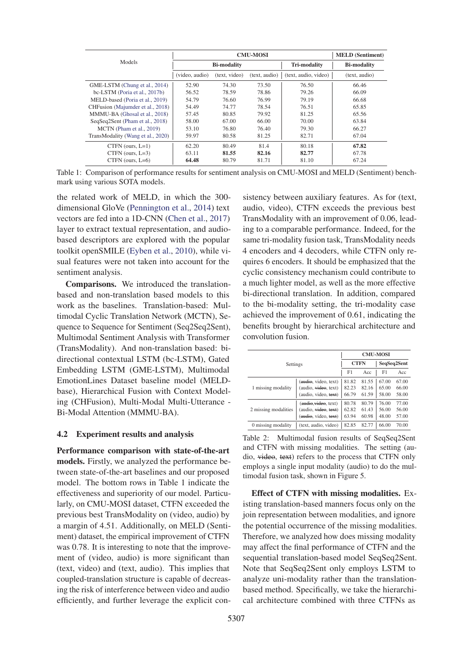| Models                            |                    | <b>MELD</b> (Sentiment) |               |                                    |               |
|-----------------------------------|--------------------|-------------------------|---------------|------------------------------------|---------------|
|                                   | <b>Bi-modality</b> |                         |               | Tri-modality<br><b>Bi-modality</b> |               |
|                                   | (video, audio)     | (text, video)           | (text, audio) | (text, audio, video)               | (text, audio) |
| GME-LSTM (Chung et al., 2014)     | 52.90              | 74.30                   | 73.50         | 76.50                              | 66.46         |
| bc-LSTM (Poria et al., 2017b)     | 56.52              | 78.59                   | 78.86         | 79.26                              | 66.09         |
| MELD-based (Poria et al., 2019)   | 54.79              | 76.60                   | 76.99         | 79.19                              | 66.68         |
| CHFusion (Majumder et al., 2018)  | 54.49              | 74.77                   | 78.54         | 76.51                              | 65.85         |
| MMMU-BA (Ghosal et al., 2018)     | 57.45              | 80.85                   | 79.92         | 81.25                              | 65.56         |
| SeqSeq2Sent (Pham et al., 2018)   | 58.00              | 67.00                   | 66.00         | 70.00                              | 63.84         |
| MCTN (Pham et al., 2019)          | 53.10              | 76.80                   | 76.40         | 79.30                              | 66.27         |
| TransModality (Wang et al., 2020) | 59.97              | 80.58                   | 81.25         | 82.71                              | 67.04         |
| $CTFN$ (ours, $L=1$ )             | 62.20              | 80.49                   | 81.4          | 80.18                              | 67.82         |
| CTFN (ours, $L=3$ )               | 63.11              | 81.55                   | 82.16         | 82.77                              | 67.78         |
| CTFN (ours, $L=6$ )               | 64.48              | 80.79                   | 81.71         | 81.10                              | 67.24         |

Table 1: Comparison of performance results for sentiment analysis on CMU-MOSI and MELD (Sentiment) benchmark using various SOTA models.

the related work of MELD, in which the 300 dimensional GloVe (Pennington et al., 2014) text vectors are fed into a 1D-CNN (Chen et al., 2017) layer to extract textual representation, and audiobased descriptors are explored with the popular toolkit openSMILE (Eyben et al., 2010), while visual features were not taken into account for the sentiment analysis.

Comparisons. We introduced the translationbased and non-translation based models to this work as the baselines. Translation-based: Multimodal Cyclic Translation Network (MCTN), Sequence to Sequence for Sentiment (Seq2Seq2Sent), Multimodal Sentiment Analysis with Transformer (TransModality). And non-translation based: bidirectional contextual LSTM (bc-LSTM), Gated Embedding LSTM (GME-LSTM), Multimodal EmotionLines Dataset baseline model (MELDbase), Hierarchical Fusion with Context Modeling (CHFusion), Multi-Modal Multi-Utterance - Bi-Modal Attention (MMMU-BA).

#### 4.2 Experiment results and analysis

Performance comparison with state-of-the-art models. Firstly, we analyzed the performance between state-of-the-art baselines and our proposed model. The bottom rows in Table 1 indicate the effectiveness and superiority of our model. Particularly, on CMU-MOSI dataset, CTFN exceeded the previous best TransModality on (video, audio) by a margin of 4.51. Additionally, on MELD (Sentiment) dataset, the empirical improvement of CTFN was 0.78. It is interesting to note that the improvement of (video, audio) is more significant than (text, video) and (text, audio). This implies that coupled-translation structure is capable of decreasing the risk of interference between video and audio efficiently, and further leverage the explicit con-

sistency between auxiliary features. As for (text, audio, video), CTFN exceeds the previous best TransModality with an improvement of 0.06, leading to a comparable performance. Indeed, for the same tri-modality fusion task, TransModality needs 4 encoders and 4 decoders, while CTFN only requires 6 encoders. It should be emphasized that the cyclic consistency mechanism could contribute to a much lighter model, as well as the more effective bi-directional translation. In addition, compared to the bi-modality setting, the tri-modality case achieved the improvement of 0.61, indicating the benefits brought by hierarchical architecture and convolution fusion.

| Settings             |                                   | <b>CMU-MOSI</b> |       |             |       |  |
|----------------------|-----------------------------------|-----------------|-------|-------------|-------|--|
|                      |                                   | <b>CTFN</b>     |       | SeqSeq2Sent |       |  |
|                      |                                   | F1              | Acc   | F1          | Acc   |  |
| 1 missing modality   | (audio, video, text)              | 81.82           | 81.55 | 67.00       | 67.00 |  |
|                      | (audio, video, text)              | 82.23           | 82.16 | 65.00       | 66.00 |  |
|                      | (audio, video, text)              | 66.79           | 61.59 | 58.00       | 58.00 |  |
| 2 missing modalities | ( <del>audio, video</del> , text) | 80.78           | 80.79 | 76.00       | 77.00 |  |
|                      | (audio, video, text)              | 62.82           | 61.43 | 56.00       | 56.00 |  |
|                      | (audio, video, text)              | 63.94           | 60.98 | 48.00       | 57.00 |  |
| 0 missing modality   | (text, audio, video)              | 82.85           | 82.77 | 66.00       | 70.00 |  |

Table 2: Multimodal fusion results of SeqSeq2Sent and CTFN with missing modalities. The setting (audio, video, text) refers to the process that CTFN only employs a single input modality (audio) to do the multimodal fusion task, shown in Figure 5.

Effect of CTFN with missing modalities. Existing translation-based manners focus only on the join representation between modalities, and ignore the potential occurrence of the missing modalities. Therefore, we analyzed how does missing modality may affect the final performance of CTFN and the sequential translation-based model SeqSeq2Sent. Note that SeqSeq2Sent only employs LSTM to analyze uni-modality rather than the translationbased method. Specifically, we take the hierarchical architecture combined with three CTFNs as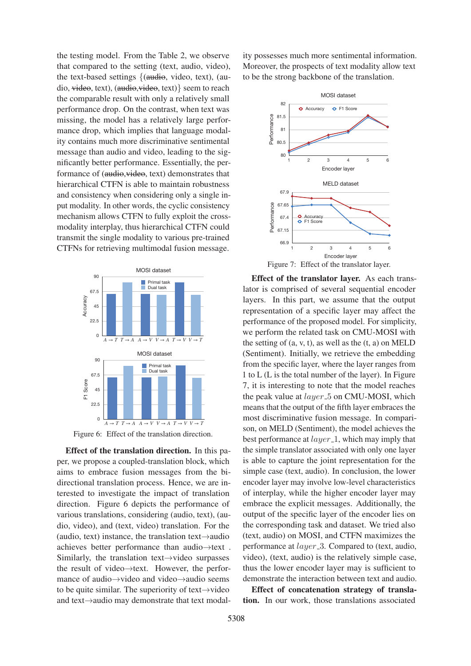the testing model. From the Table 2, we observe that compared to the setting (text, audio, video), the text-based settings  $\{$ (audio, video, text), (audio, video, text), (audio,video, text)} seem to reach the comparable result with only a relatively small performance drop. On the contrast, when text was missing, the model has a relatively large performance drop, which implies that language modality contains much more discriminative sentimental message than audio and video, leading to the significantly better performance. Essentially, the performance of (audio, video, text) demonstrates that hierarchical CTFN is able to maintain robustness and consistency when considering only a single input modality. In other words, the cyclic consistency mechanism allows CTFN to fully exploit the crossmodality interplay, thus hierarchical CTFN could transmit the single modality to various pre-trained CTFNs for retrieving multimodal fusion message.



Figure 6: Effect of the translation direction.

Effect of the translation direction. In this paper, we propose a coupled-translation block, which aims to embrace fusion messages from the bidirectional translation process. Hence, we are interested to investigate the impact of translation direction. Figure 6 depicts the performance of various translations, considering (audio, text), (audio, video), and (text, video) translation. For the (audio, text) instance, the translation text→audio achieves better performance than audio→text . Similarly, the translation text→video surpasses the result of video→text. However, the performance of audio→video and video→audio seems to be quite similar. The superiority of text→video and text→audio may demonstrate that text modal-

ity possesses much more sentimental information. Moreover, the prospects of text modality allow text to be the strong backbone of the translation.



Effect of the translator layer. As each translator is comprised of several sequential encoder layers. In this part, we assume that the output representation of a specific layer may affect the performance of the proposed model. For simplicity, we perform the related task on CMU-MOSI with the setting of  $(a, v, t)$ , as well as the  $(t, a)$  on MELD (Sentiment). Initially, we retrieve the embedding from the specific layer, where the layer ranges from 1 to L (L is the total number of the layer). In Figure 7, it is interesting to note that the model reaches the peak value at  $layer\_5$  on CMU-MOSI, which means that the output of the fifth layer embraces the most discriminative fusion message. In comparison, on MELD (Sentiment), the model achieves the best performance at  $layer_1$ , which may imply that the simple translator associated with only one layer is able to capture the joint representation for the simple case (text, audio). In conclusion, the lower encoder layer may involve low-level characteristics of interplay, while the higher encoder layer may embrace the explicit messages. Additionally, the output of the specific layer of the encoder lies on the corresponding task and dataset. We tried also (text, audio) on MOSI, and CTFN maximizes the performance at *layer* 3. Compared to (text, audio, video), (text, audio) is the relatively simple case, thus the lower encoder layer may is sufficient to demonstrate the interaction between text and audio.

Effect of concatenation strategy of translation. In our work, those translations associated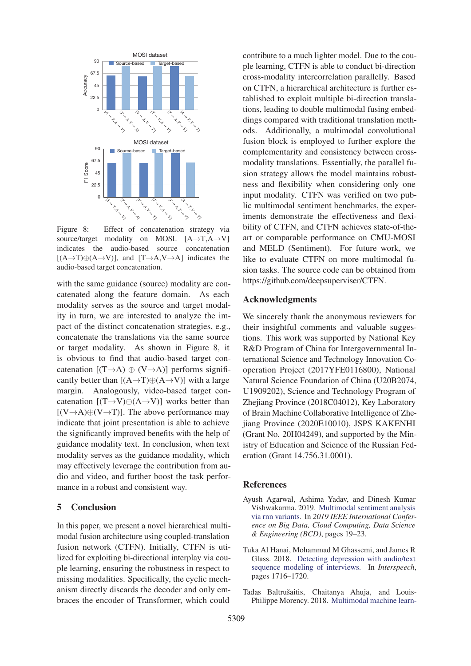

Figure 8: Effect of concatenation strategy via source/target modality on MOSI.  $[A \rightarrow T, A \rightarrow V]$ indicates the audio-based source concatenation  $[(A \rightarrow T) \oplus (A \rightarrow V)]$ , and  $[T \rightarrow A, V \rightarrow A]$  indicates the audio-based target concatenation.

with the same guidance (source) modality are concatenated along the feature domain. As each modality serves as the source and target modality in turn, we are interested to analyze the impact of the distinct concatenation strategies, e.g., concatenate the translations via the same source or target modality. As shown in Figure 8, it is obvious to find that audio-based target concatenation  $[(T\rightarrow A) \oplus (V\rightarrow A)]$  performs significantly better than  $[(A \rightarrow T) \oplus (A \rightarrow V)]$  with a large<br>margin. Analogously, video-based target con-Analogously, video-based target concatenation  $[(T\rightarrow V) \oplus (A \rightarrow V)]$  works better than  $[(V\rightarrow A)\oplus (V\rightarrow T)]$ . The above performance may indicate that joint presentation is able to achieve the significantly improved benefits with the help of guidance modality text. In conclusion, when text modality serves as the guidance modality, which may effectively leverage the contribution from audio and video, and further boost the task performance in a robust and consistent way.

#### 5 Conclusion

In this paper, we present a novel hierarchical multimodal fusion architecture using coupled-translation fusion network (CTFN). Initially, CTFN is utilized for exploiting bi-directional interplay via couple learning, ensuring the robustness in respect to missing modalities. Specifically, the cyclic mechanism directly discards the decoder and only embraces the encoder of Transformer, which could

contribute to a much lighter model. Due to the couple learning, CTFN is able to conduct bi-direction cross-modality intercorrelation parallelly. Based on CTFN, a hierarchical architecture is further established to exploit multiple bi-direction translations, leading to double multimodal fusing embeddings compared with traditional translation methods. Additionally, a multimodal convolutional fusion block is employed to further explore the complementarity and consistency between crossmodality translations. Essentially, the parallel fusion strategy allows the model maintains robustness and flexibility when considering only one input modality. CTFN was verified on two public multimodal sentiment benchmarks, the experiments demonstrate the effectiveness and flexibility of CTFN, and CTFN achieves state-of-theart or comparable performance on CMU-MOSI and MELD (Sentiment). For future work, we like to evaluate CTFN on more multimodal fusion tasks. The source code can be obtained from https://github.com/deepsuperviser/CTFN.

## Acknowledgments

We sincerely thank the anonymous reviewers for their insightful comments and valuable suggestions. This work was supported by National Key R&D Program of China for Intergovernmental International Science and Technology Innovation Cooperation Project (2017YFE0116800), National Natural Science Foundation of China (U20B2074, U1909202), Science and Technology Program of Zhejiang Province (2018C04012), Key Laboratory of Brain Machine Collaborative Intelligence of Zhejiang Province (2020E10010), JSPS KAKENHI (Grant No. 20H04249), and supported by the Ministry of Education and Science of the Russian Federation (Grant 14.756.31.0001).

#### References

- Ayush Agarwal, Ashima Yadav, and Dinesh Kumar Vishwakarma. 2019. Multimodal sentiment analysis via rnn variants. In *2019 IEEE International Conference on Big Data, Cloud Computing, Data Science & Engineering (BCD)*, pages 19–23.
- Tuka Al Hanai, Mohammad M Ghassemi, and James R Glass. 2018. Detecting depression with audio/text sequence modeling of interviews. In *Interspeech*, pages 1716–1720.
- Tadas Baltrušaitis, Chaitanya Ahuja, and Louis-Philippe Morency. 2018. Multimodal machine learn-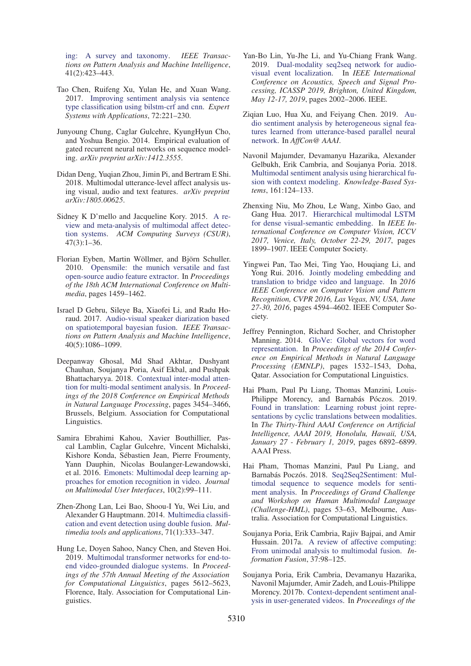ing: A survey and taxonomy. *IEEE Transactions on Pattern Analysis and Machine Intelligence*, 41(2):423–443.

- Tao Chen, Ruifeng Xu, Yulan He, and Xuan Wang. 2017. Improving sentiment analysis via sentence type classification using bilstm-crf and cnn. *Expert Systems with Applications*, 72:221–230.
- Junyoung Chung, Caglar Gulcehre, KyungHyun Cho, and Yoshua Bengio. 2014. Empirical evaluation of gated recurrent neural networks on sequence modeling. *arXiv preprint arXiv:1412.3555*.
- Didan Deng, Yuqian Zhou, Jimin Pi, and Bertram E Shi. 2018. Multimodal utterance-level affect analysis using visual, audio and text features. *arXiv preprint arXiv:1805.00625*.
- Sidney K D'mello and Jacqueline Kory. 2015. A review and meta-analysis of multimodal affect detection systems. *ACM Computing Surveys (CSUR)*,  $47(3):1-36.$
- Florian Eyben, Martin Wöllmer, and Björn Schuller. 2010. Opensmile: the munich versatile and fast open-source audio feature extractor. In *Proceedings of the 18th ACM International Conference on Multimedia*, pages 1459–1462.
- Israel D Gebru, Sileye Ba, Xiaofei Li, and Radu Horaud. 2017. Audio-visual speaker diarization based on spatiotemporal bayesian fusion. *IEEE Transactions on Pattern Analysis and Machine Intelligence*, 40(5):1086–1099.
- Deepanway Ghosal, Md Shad Akhtar, Dushyant Chauhan, Soujanya Poria, Asif Ekbal, and Pushpak Bhattacharyya. 2018. Contextual inter-modal attention for multi-modal sentiment analysis. In *Proceedings of the 2018 Conference on Empirical Methods in Natural Language Processing*, pages 3454–3466, Brussels, Belgium. Association for Computational Linguistics.
- Samira Ebrahimi Kahou, Xavier Bouthillier, Pascal Lamblin, Caglar Gulcehre, Vincent Michalski, Kishore Konda, Sébastien Jean, Pierre Froumenty, Yann Dauphin, Nicolas Boulanger-Lewandowski, et al. 2016. Emonets: Multimodal deep learning approaches for emotion recognition in video. *Journal on Multimodal User Interfaces*, 10(2):99–111.
- Zhen-Zhong Lan, Lei Bao, Shoou-I Yu, Wei Liu, and Alexander G Hauptmann. 2014. Multimedia classification and event detection using double fusion. *Multimedia tools and applications*, 71(1):333–347.
- Hung Le, Doyen Sahoo, Nancy Chen, and Steven Hoi. 2019. Multimodal transformer networks for end-toend video-grounded dialogue systems. In *Proceedings of the 57th Annual Meeting of the Association for Computational Linguistics*, pages 5612–5623, Florence, Italy. Association for Computational Linguistics.
- Yan-Bo Lin, Yu-Jhe Li, and Yu-Chiang Frank Wang. 2019. Dual-modality seq2seq network for audiovisual event localization. In *IEEE International Conference on Acoustics, Speech and Signal Processing, ICASSP 2019, Brighton, United Kingdom, May 12-17, 2019*, pages 2002–2006. IEEE.
- Ziqian Luo, Hua Xu, and Feiyang Chen. 2019. Audio sentiment analysis by heterogeneous signal features learned from utterance-based parallel neural network. In *AffCon@ AAAI*.
- Navonil Majumder, Devamanyu Hazarika, Alexander Gelbukh, Erik Cambria, and Soujanya Poria. 2018. Multimodal sentiment analysis using hierarchical fusion with context modeling. *Knowledge-Based Systems*, 161:124–133.
- Zhenxing Niu, Mo Zhou, Le Wang, Xinbo Gao, and Gang Hua. 2017. Hierarchical multimodal LSTM for dense visual-semantic embedding. In *IEEE International Conference on Computer Vision, ICCV 2017, Venice, Italy, October 22-29, 2017*, pages 1899–1907. IEEE Computer Society.
- Yingwei Pan, Tao Mei, Ting Yao, Houqiang Li, and Yong Rui. 2016. Jointly modeling embedding and translation to bridge video and language. In *2016 IEEE Conference on Computer Vision and Pattern Recognition, CVPR 2016, Las Vegas, NV, USA, June 27-30, 2016*, pages 4594–4602. IEEE Computer Society.
- Jeffrey Pennington, Richard Socher, and Christopher Manning. 2014. GloVe: Global vectors for word representation. In *Proceedings of the 2014 Conference on Empirical Methods in Natural Language Processing (EMNLP)*, pages 1532–1543, Doha, Qatar. Association for Computational Linguistics.
- Hai Pham, Paul Pu Liang, Thomas Manzini, Louis-Philippe Morency, and Barnabás Póczos. 2019. Found in translation: Learning robust joint representations by cyclic translations between modalities. In *The Thirty-Third AAAI Conference on Artificial Intelligence, AAAI 2019, Honolulu, Hawaii, USA, January 27 - February 1, 2019*, pages 6892–6899. AAAI Press.
- Hai Pham, Thomas Manzini, Paul Pu Liang, and Barnabás Poczós. 2018. Seg2Seg2Sentiment: Multimodal sequence to sequence models for sentiment analysis. In *Proceedings of Grand Challenge and Workshop on Human Multimodal Language (Challenge-HML)*, pages 53–63, Melbourne, Australia. Association for Computational Linguistics.
- Soujanya Poria, Erik Cambria, Rajiv Bajpai, and Amir Hussain. 2017a. A review of affective computing: From unimodal analysis to multimodal fusion. *Information Fusion*, 37:98–125.
- Soujanya Poria, Erik Cambria, Devamanyu Hazarika, Navonil Majumder, Amir Zadeh, and Louis-Philippe Morency. 2017b. Context-dependent sentiment analysis in user-generated videos. In *Proceedings of the*